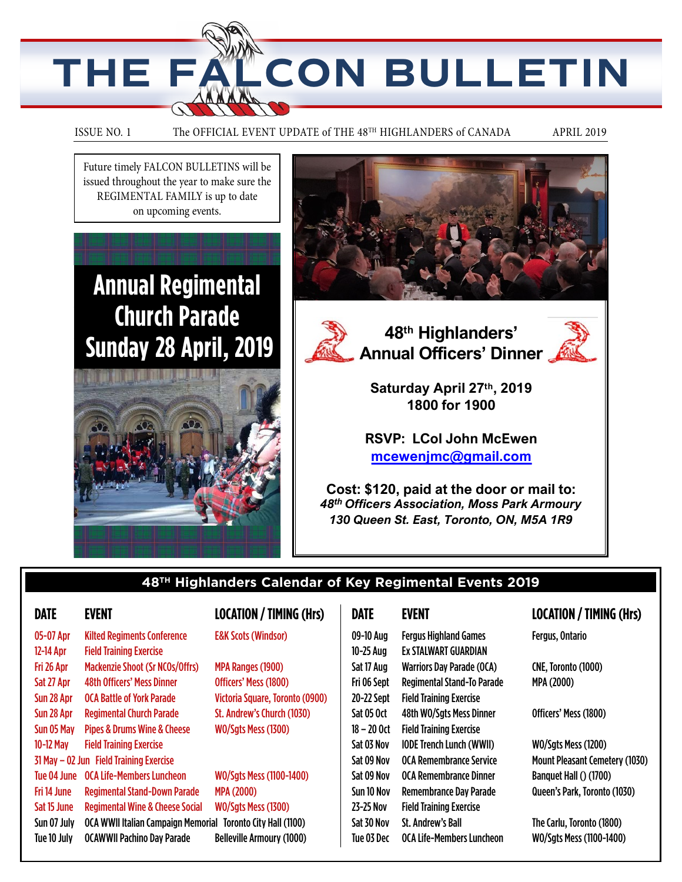

#### ISSUE NO. 1 The OFFICIAL EVENT UPDATE of THE 48<sup>TH</sup> HIGHLANDERS of CANADA APRIL 2019

Future timely FALCON BULLETINS will be issued throughout the year to make sure the REGIMENTAL FAMILY is up to date on upcoming events.

## **Annual Regimental Church Parade Sunday 28 April, 2019**











**Saturday April 27th, 2019 1800 for 1900**

**RSVP: LCol John McEwen mcewenjmc@gmail.com**

**Cost: \$120, paid at the door or mail to:** *48th Officers Association, Moss Park Armoury 130 Queen St. East, Toronto, ON, M5A 1R9*

## **48TH Highlanders Calendar of Key Regimental Events 2019**

| 05-07 Apr   | <b>Kilted Regiments Conference</b>         |  |
|-------------|--------------------------------------------|--|
| 12-14 Apr   | <b>Field Training Exercise</b>             |  |
| Fri 26 Apr  | <b>Mackenzie Shoot (Sr NCOs/Offrs)</b>     |  |
| Sat 27 Apr  | <b>48th Officers' Mess Dinner</b>          |  |
| Sun 28 Apr  | <b>OCA Battle of York Parade</b>           |  |
| Sun 28 Apr  | <b>Regimental Church Parade</b>            |  |
| Sun 05 May  | <b>Pipes &amp; Drums Wine &amp; Cheese</b> |  |
| 10-12 May   | <b>Field Training Exercise</b>             |  |
|             | 31 May - 02 Jun Field Training Exercise    |  |
| Tue 04 June | OCA Life-Members Luncheon                  |  |
| Fri 14 June | <b>Regimental Stand-Down Parade</b>        |  |
| Sat 15 June | <b>Regimental Wine &amp; Cheese Social</b> |  |
| Sun 07 July | <b>OCA WWII Italian Campaign Memorial</b>  |  |
| Tue 10 July | <b>OCAWWII Pachino Day Parade</b>          |  |

### **DATE EVENT LOCATION / TIMING (Hrs)**

#### **E&K Scots (Windsor)**

MPA Ranges (1900) Officers' Mess (1800) Victoria Square, Toronto (0900) St. Andrew's Church (1030) WO/Sgts Mess (1300)

WO/Sgts Mess (1100-1400) MPA (2000) WO/Sgts Mess (1300) orial Toronto City Hall (1100) Belleville Armoury (1000)

09-10 Aug Fergus Highland Games Fergus, Ontario 10-25 Aug Ex STALWART GUARDIAN Sat 17 Aug Warriors Day Parade (OCA) CNE, Toronto (1000) Fri 06 Sept Regimental Stand-To Parade MPA (2000) 20-22 Sept Field Training Exercise Sat 05 Oct 48th WO/Sgts Mess Dinner 0fficers' Mess (1800) 18 – 20 Oct Field Training Exercise Sat 03 Nov IODE Trench Lunch (WWII) WO/Sgts Mess (1200) Sat 09 Nov OCA Remembrance Service Mount Pleasant Cemetery (1030) Sat 09 Nov OCA Remembrance Dinner Banquet Hall () (1700) Sun 10 Nov Remembrance Day Parade Queen's Park, Toronto (1030) 23-25 Nov Field Training Exercise Sat 30 Nov St. Andrew's Ball The Carlu, Toronto (1800) Tue 03 Dec OCA Life-Members Luncheon WO/Sgts Mess (1100-1400)

#### **DATE EVENT LOCATION / TIMING (Hrs)**